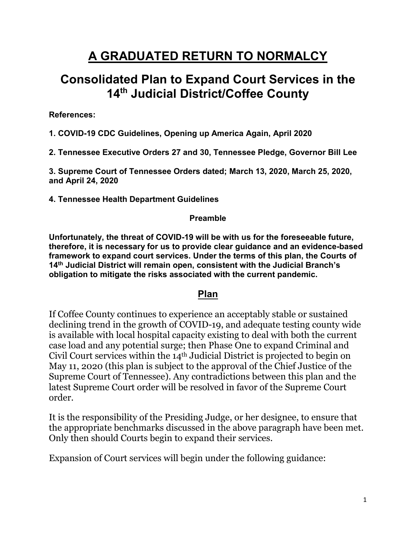# **A GRADUATED RETURN TO NORMALCY**

## **Consolidated Plan to Expand Court Services in the 14th Judicial District/Coffee County**

**References:**

**1. COVID-19 CDC Guidelines, Opening up America Again, April 2020**

**2. Tennessee Executive Orders 27 and 30, Tennessee Pledge, Governor Bill Lee**

**3. Supreme Court of Tennessee Orders dated; March 13, 2020, March 25, 2020, and April 24, 2020**

**4. Tennessee Health Department Guidelines**

#### **Preamble**

**Unfortunately, the threat of COVID-19 will be with us for the foreseeable future, therefore, it is necessary for us to provide clear guidance and an evidence-based framework to expand court services. Under the terms of this plan, the Courts of 14th Judicial District will remain open, consistent with the Judicial Branch's obligation to mitigate the risks associated with the current pandemic.**

#### **Plan**

If Coffee County continues to experience an acceptably stable or sustained declining trend in the growth of COVID-19, and adequate testing county wide is available with local hospital capacity existing to deal with both the current case load and any potential surge; then Phase One to expand Criminal and Civil Court services within the 14th Judicial District is projected to begin on May 11, 2020 (this plan is subject to the approval of the Chief Justice of the Supreme Court of Tennessee). Any contradictions between this plan and the latest Supreme Court order will be resolved in favor of the Supreme Court order.

It is the responsibility of the Presiding Judge, or her designee, to ensure that the appropriate benchmarks discussed in the above paragraph have been met. Only then should Courts begin to expand their services.

Expansion of Court services will begin under the following guidance: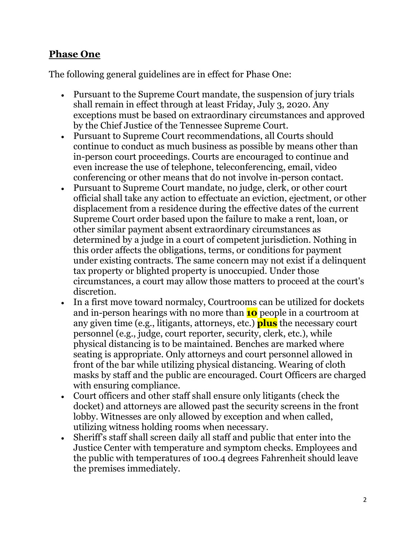#### **Phase One**

The following general guidelines are in effect for Phase One:

- Pursuant to the Supreme Court mandate, the suspension of jury trials shall remain in effect through at least Friday, July 3, 2020. Any exceptions must be based on extraordinary circumstances and approved by the Chief Justice of the Tennessee Supreme Court.
- Pursuant to Supreme Court recommendations, all Courts should continue to conduct as much business as possible by means other than in-person court proceedings. Courts are encouraged to continue and even increase the use of telephone, teleconferencing, email, video conferencing or other means that do not involve in-person contact.
- Pursuant to Supreme Court mandate, no judge, clerk, or other court official shall take any action to effectuate an eviction, ejectment, or other displacement from a residence during the effective dates of the current Supreme Court order based upon the failure to make a rent, loan, or other similar payment absent extraordinary circumstances as determined by a judge in a court of competent jurisdiction. Nothing in this order affects the obligations, terms, or conditions for payment under existing contracts. The same concern may not exist if a delinquent tax property or blighted property is unoccupied. Under those circumstances, a court may allow those matters to proceed at the court's discretion.
- In a first move toward normalcy, Courtrooms can be utilized for dockets and in-person hearings with no more than **10** people in a courtroom at any given time (e.g., litigants, attorneys, etc.) **plus** the necessary court personnel (e.g., judge, court reporter, security, clerk, etc.), while physical distancing is to be maintained. Benches are marked where seating is appropriate. Only attorneys and court personnel allowed in front of the bar while utilizing physical distancing. Wearing of cloth masks by staff and the public are encouraged. Court Officers are charged with ensuring compliance.
- Court officers and other staff shall ensure only litigants (check the docket) and attorneys are allowed past the security screens in the front lobby. Witnesses are only allowed by exception and when called, utilizing witness holding rooms when necessary.
- Sheriff's staff shall screen daily all staff and public that enter into the Justice Center with temperature and symptom checks. Employees and the public with temperatures of 100.4 degrees Fahrenheit should leave the premises immediately.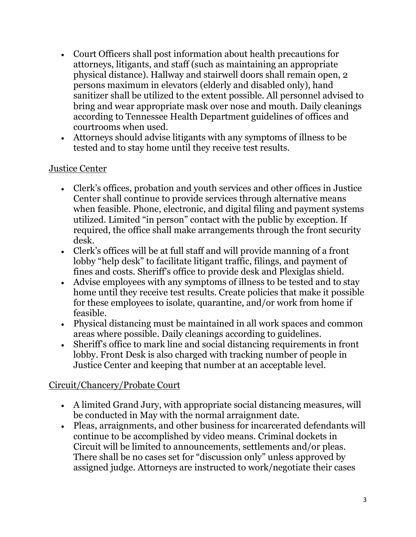- Court Officers shall post information about health precautions for attorneys, litigants, and staff (such as maintaining an appropriate physical distance). Hallway and stairwell doors shall remain open, 2 persons maximum in elevators (elderly and disabled only), hand sanitizer shall be utilized to the extent possible. All personnel advised to bring and wear appropriate mask over nose and mouth. Daily cleanings according to Tennessee Health Department guidelines of offices and courtrooms when used.
- Attorneys should advise litigants with any symptoms of illness to be tested and to stay home until they receive test results.

#### Justice Center

- Clerk's offices, probation and youth services and other offices in Justice Center shall continue to provide services through alternative means when feasible. Phone, electronic, and digital filing and payment systems utilized. Limited "in person" contact with the public by exception. If required, the office shall make arrangements through the front security desk.
- Clerk's offices will be at full staff and will provide manning of a front lobby "help desk" to facilitate litigant traffic, filings, and payment of fines and costs. Sheriff's office to provide desk and Plexiglas shield.
- Advise employees with any symptoms of illness to be tested and to stay home until they receive test results. Create policies that make it possible for these employees to isolate, quarantine, and/or work from home if feasible.
- Physical distancing must be maintained in all work spaces and common areas where possible. Daily cleanings according to guidelines.
- Sheriff's office to mark line and social distancing requirements in front lobby. Front Desk is also charged with tracking number of people in Justice Center and keeping that number at an acceptable level.

#### Circuit/Chancery/Probate Court

- A limited Grand Jury, with appropriate social distancing measures, will be conducted in May with the normal arraignment date.
- Pleas, arraignments, and other business for incarcerated defendants will continue to be accomplished by video means. Criminal dockets in Circuit will be limited to announcements, settlements and/or pleas. There shall be no cases set for "discussion only" unless approved by assigned judge. Attorneys are instructed to work/negotiate their cases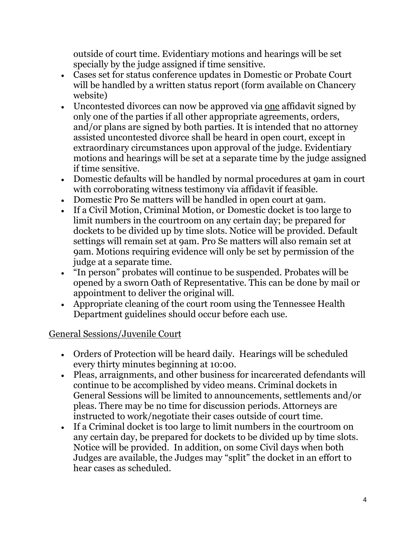outside of court time. Evidentiary motions and hearings will be set specially by the judge assigned if time sensitive.

- Cases set for status conference updates in Domestic or Probate Court will be handled by a written status report (form available on Chancery website)
- Uncontested divorces can now be approved via one affidavit signed by only one of the parties if all other appropriate agreements, orders, and/or plans are signed by both parties. It is intended that no attorney assisted uncontested divorce shall be heard in open court, except in extraordinary circumstances upon approval of the judge. Evidentiary motions and hearings will be set at a separate time by the judge assigned if time sensitive.
- Domestic defaults will be handled by normal procedures at 9am in court with corroborating witness testimony via affidavit if feasible.
- Domestic Pro Se matters will be handled in open court at 9am.
- If a Civil Motion, Criminal Motion, or Domestic docket is too large to limit numbers in the courtroom on any certain day; be prepared for dockets to be divided up by time slots. Notice will be provided. Default settings will remain set at 9am. Pro Se matters will also remain set at 9am. Motions requiring evidence will only be set by permission of the judge at a separate time.
- "In person" probates will continue to be suspended. Probates will be opened by a sworn Oath of Representative. This can be done by mail or appointment to deliver the original will.
- Appropriate cleaning of the court room using the Tennessee Health Department guidelines should occur before each use.

## General Sessions/Juvenile Court

- Orders of Protection will be heard daily. Hearings will be scheduled every thirty minutes beginning at 10:00.
- Pleas, arraignments, and other business for incarcerated defendants will continue to be accomplished by video means. Criminal dockets in General Sessions will be limited to announcements, settlements and/or pleas. There may be no time for discussion periods. Attorneys are instructed to work/negotiate their cases outside of court time.
- If a Criminal docket is too large to limit numbers in the courtroom on any certain day, be prepared for dockets to be divided up by time slots. Notice will be provided. In addition, on some Civil days when both Judges are available, the Judges may "split" the docket in an effort to hear cases as scheduled.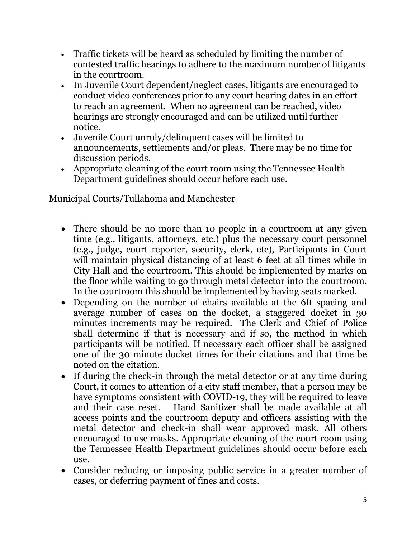- Traffic tickets will be heard as scheduled by limiting the number of contested traffic hearings to adhere to the maximum number of litigants in the courtroom.
- In Juvenile Court dependent/neglect cases, litigants are encouraged to conduct video conferences prior to any court hearing dates in an effort to reach an agreement. When no agreement can be reached, video hearings are strongly encouraged and can be utilized until further notice.
- Juvenile Court unruly/delinquent cases will be limited to announcements, settlements and/or pleas. There may be no time for discussion periods.
- Appropriate cleaning of the court room using the Tennessee Health Department guidelines should occur before each use.

### Municipal Courts/Tullahoma and Manchester

- There should be no more than 10 people in a courtroom at any given time (e.g., litigants, attorneys, etc.) plus the necessary court personnel (e.g., judge, court reporter, security, clerk, etc), Participants in Court will maintain physical distancing of at least 6 feet at all times while in City Hall and the courtroom. This should be implemented by marks on the floor while waiting to go through metal detector into the courtroom. In the courtroom this should be implemented by having seats marked.
- Depending on the number of chairs available at the 6ft spacing and average number of cases on the docket, a staggered docket in 30 minutes increments may be required. The Clerk and Chief of Police shall determine if that is necessary and if so, the method in which participants will be notified. If necessary each officer shall be assigned one of the 30 minute docket times for their citations and that time be noted on the citation.
- If during the check-in through the metal detector or at any time during Court, it comes to attention of a city staff member, that a person may be have symptoms consistent with COVID-19, they will be required to leave and their case reset. Hand Sanitizer shall be made available at all access points and the courtroom deputy and officers assisting with the metal detector and check-in shall wear approved mask. All others encouraged to use masks. Appropriate cleaning of the court room using the Tennessee Health Department guidelines should occur before each use.
- Consider reducing or imposing public service in a greater number of cases, or deferring payment of fines and costs.